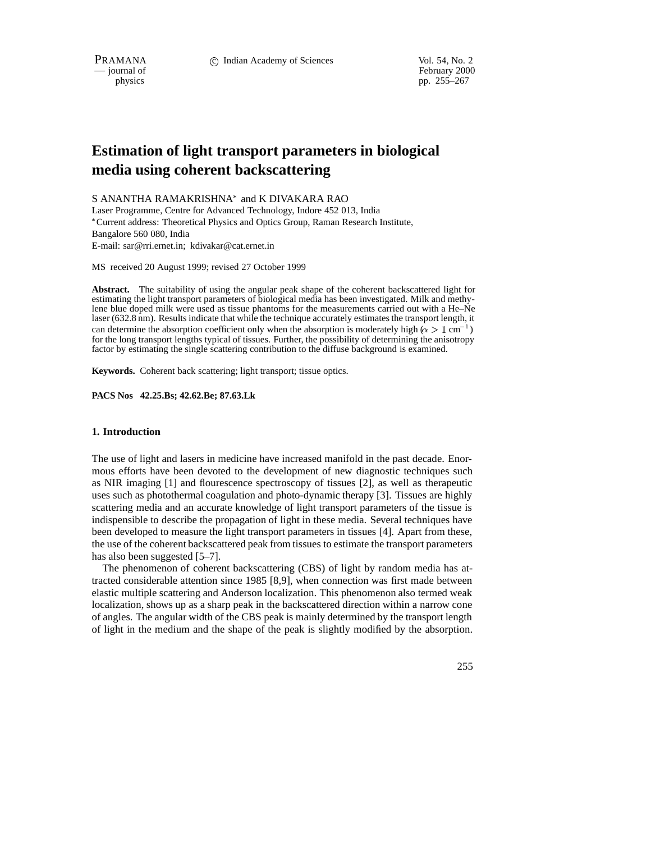February 2000 physics pp. 255–267

# **Estimation of light transport parameters in biological media using coherent backscattering**

S ANANTHA RAMAKRISHNA<sup>\*</sup> and K DIVAKARA RAO

Laser Programme, Centre for Advanced Technology, Indore 452 013, India Current address: Theoretical Physics and Optics Group, Raman Research Institute, Bangalore 560 080, India E-mail: sar@rri.ernet.in; kdivakar@cat.ernet.in

MS received 20 August 1999; revised 27 October 1999

**Abstract.** The suitability of using the angular peak shape of the coherent backscattered light for estimating the light transport parameters of biological media has been investigated. Milk and methylene blue doped milk were used as tissue phantoms for the measurements carried out with a He–Ne laser (632.8 nm). Results indicate that while the technique accurately estimates the transport length, it can determine the absorption coefficient only when the absorption is moderately high ( $\alpha > 1$  cm<sup>-1</sup>) for the long transport lengths typical of tissues. Further, the possibility of determining the anisotropy factor by estimating the single scattering contribution to the diffuse background is examined.

**Keywords.** Coherent back scattering; light transport; tissue optics.

## **PACS Nos 42.25.Bs; 42.62.Be; 87.63.Lk**

# **1. Introduction**

The use of light and lasers in medicine have increased manifold in the past decade. Enormous efforts have been devoted to the development of new diagnostic techniques such as NIR imaging [1] and flourescence spectroscopy of tissues [2], as well as therapeutic uses such as photothermal coagulation and photo-dynamic therapy [3]. Tissues are highly scattering media and an accurate knowledge of light transport parameters of the tissue is indispensible to describe the propagation of light in these media. Several techniques have been developed to measure the light transport parameters in tissues [4]. Apart from these, the use of the coherent backscattered peak from tissues to estimate the transport parameters has also been suggested [5–7].

The phenomenon of coherent backscattering (CBS) of light by random media has attracted considerable attention since 1985 [8,9], when connection was first made between elastic multiple scattering and Anderson localization. This phenomenon also termed weak localization, shows up as a sharp peak in the backscattered direction within a narrow cone of angles. The angular width of the CBS peak is mainly determined by the transport length of light in the medium and the shape of the peak is slightly modified by the absorption.

255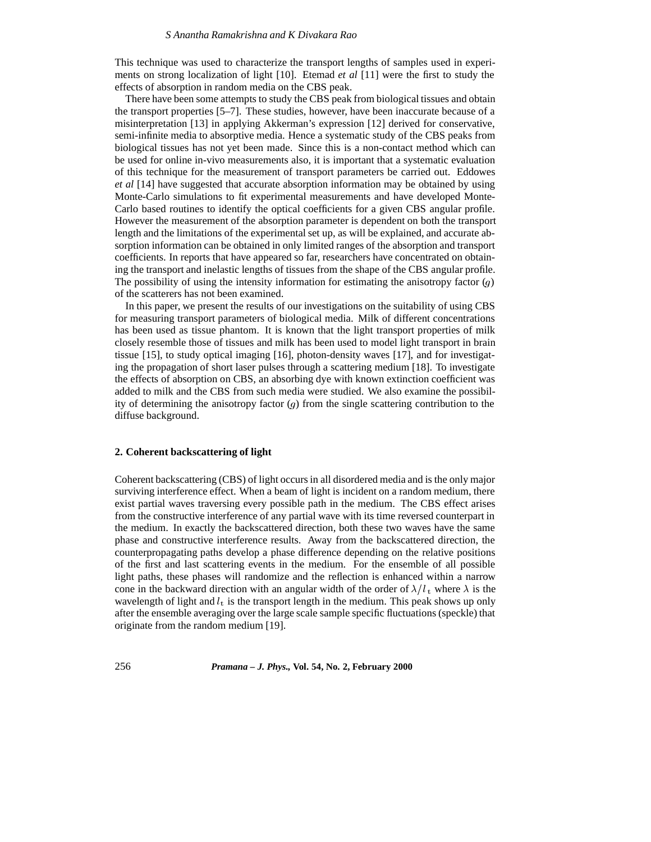This technique was used to characterize the transport lengths of samples used in experiments on strong localization of light [10]. Etemad *et al* [11] were the first to study the effects of absorption in random media on the CBS peak.

There have been some attempts to study the CBS peak from biological tissues and obtain the transport properties [5–7]. These studies, however, have been inaccurate because of a misinterpretation [13] in applying Akkerman's expression [12] derived for conservative, semi-infinite media to absorptive media. Hence a systematic study of the CBS peaks from biological tissues has not yet been made. Since this is a non-contact method which can be used for online in-vivo measurements also, it is important that a systematic evaluation of this technique for the measurement of transport parameters be carried out. Eddowes *et al* [14] have suggested that accurate absorption information may be obtained by using Monte-Carlo simulations to fit experimental measurements and have developed Monte-Carlo based routines to identify the optical coefficients for a given CBS angular profile. However the measurement of the absorption parameter is dependent on both the transport length and the limitations of the experimental set up, as will be explained, and accurate absorption information can be obtained in only limited ranges of the absorption and transport coefficients. In reports that have appeared so far, researchers have concentrated on obtaining the transport and inelastic lengths of tissues from the shape of the CBS angular profile. The possibility of using the intensity information for estimating the anisotropy factor  $(q)$ of the scatterers has not been examined.

In this paper, we present the results of our investigations on the suitability of using CBS for measuring transport parameters of biological media. Milk of different concentrations has been used as tissue phantom. It is known that the light transport properties of milk closely resemble those of tissues and milk has been used to model light transport in brain tissue [15], to study optical imaging [16], photon-density waves [17], and for investigating the propagation of short laser pulses through a scattering medium [18]. To investigate the effects of absorption on CBS, an absorbing dye with known extinction coefficient was added to milk and the CBS from such media were studied. We also examine the possibility of determining the anisotropy factor  $(g)$  from the single scattering contribution to the diffuse background.

## **2. Coherent backscattering of light**

Coherent backscattering (CBS) of light occurs in all disordered media and is the only major surviving interference effect. When a beam of light is incident on a random medium, there exist partial waves traversing every possible path in the medium. The CBS effect arises from the constructive interference of any partial wave with its time reversed counterpart in the medium. In exactly the backscattered direction, both these two waves have the same phase and constructive interference results. Away from the backscattered direction, the counterpropagating paths develop a phase difference depending on the relative positions of the first and last scattering events in the medium. For the ensemble of all possible light paths, these phases will randomize and the reflection is enhanced within a narrow cone in the backward direction with an angular width of the order of  $\lambda/l_t$ , where  $\lambda$  is the wavelength of light and  $l_t$  is the transport length in the medium. This peak shows up only after the ensemble averaging over the large scale sample specific fluctuations (speckle) that originate from the random medium [19].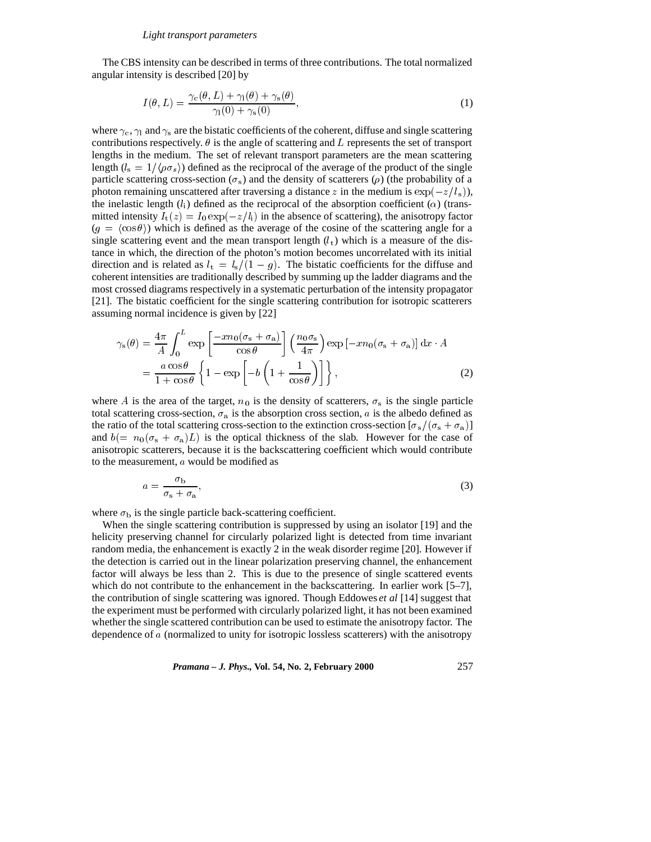The CBS intensity can be described in terms of three contributions. The total normalized angular intensity is described [20] by

$$
I(\theta, L) = \frac{\gamma_c(\theta, L) + \gamma_l(\theta) + \gamma_s(\theta)}{\gamma_l(0) + \gamma_s(0)},
$$
\n(1)

where  $\gamma_c$ ,  $\gamma_1$  and  $\gamma_s$  are the bistatic coefficients of the coherent, diffuse and single scattering contributions respectively.  $\theta$  is the angle of scattering and L represents the set of transport lengths in the medium. The set of relevant transport parameters are the mean scattering length  $(l_s = 1/\langle \rho \sigma_s \rangle)$  defined as the reciprocal of the average of the product of the single particle scattering cross-section ( $\sigma_s$ ) and the density of scatterers ( $\rho$ ) (the probability of a photon remaining unscattered after traversing a distance z in the medium is  $\exp(-z/l_s)$ ), the inelastic length  $(l_i)$  defined as the reciprocal of the absorption coefficient  $(\alpha)$  (transmitted intensity  $I_t(z) = I_0 \exp(-z/l_i)$  in the absence of scattering), the anisotropy factor  $(g = \langle \cos \theta \rangle)$  which is defined as the average of the cosine of the scattering angle for a single scattering event and the mean transport length  $(l<sub>t</sub>)$  which is a measure of the distance in which, the direction of the photon's motion becomes uncorrelated with its initial direction and is related as  $l_t = l_s/(1 - g)$ . The bistatic coefficients for the diffuse and coherent intensities are traditionally described by summing up the ladder diagrams and the most crossed diagrams respectively in a systematic perturbation of the intensity propagator [21]. The bistatic coefficient for the single scattering contribution for isotropic scatterers assuming normal incidence is given by [22]

$$
\gamma_{s}(\theta) = \frac{4\pi}{A} \int_{0}^{L} \exp\left[\frac{-xn_{0}(\sigma_{s}+\sigma_{a})}{\cos\theta}\right] \left(\frac{n_{0}\sigma_{s}}{4\pi}\right) \exp\left[-xn_{0}(\sigma_{s}+\sigma_{a})\right] dx \cdot A
$$

$$
= \frac{a\cos\theta}{1+\cos\theta} \left\{1-\exp\left[-b\left(1+\frac{1}{\cos\theta}\right)\right]\right\},
$$
(2)

where A is the area of the target,  $n_0$  is the density of scatterers,  $\sigma_s$  is the single particle total scattering cross-section,  $\sigma_a$  is the absorption cross section, a is the albedo defined as the ratio of the total scattering cross-section to the extinction cross-section  $[\sigma_s/(\sigma_s + \sigma_a)]$ and  $b(= n_0(\sigma_s + \sigma_a)L)$  is the optical thickness of the slab. However for the case of anisotropic scatterers, because it is the backscattering coefficient which would contribute to the measurement, a would be modified as

$$
a = \frac{\sigma_{\rm b}}{\sigma_{\rm s} + \sigma_{\rm a}},\tag{3}
$$

where  $\sigma_b$  is the single particle back-scattering coefficient.

When the single scattering contribution is suppressed by using an isolator [19] and the helicity preserving channel for circularly polarized light is detected from time invariant random media, the enhancement is exactly 2 in the weak disorder regime [20]. However if the detection is carried out in the linear polarization preserving channel, the enhancement factor will always be less than 2. This is due to the presence of single scattered events which do not contribute to the enhancement in the backscattering. In earlier work [5–7], the contribution of single scattering was ignored. Though Eddowes *et al* [14] suggest that the experiment must be performed with circularly polarized light, it has not been examined whether the single scattered contribution can be used to estimate the anisotropy factor. The dependence of a (normalized to unity for isotropic lossless scatterers) with the anisotropy

*Pramana – J. Phys.,* **Vol. 54, No. 2, February 2000** 257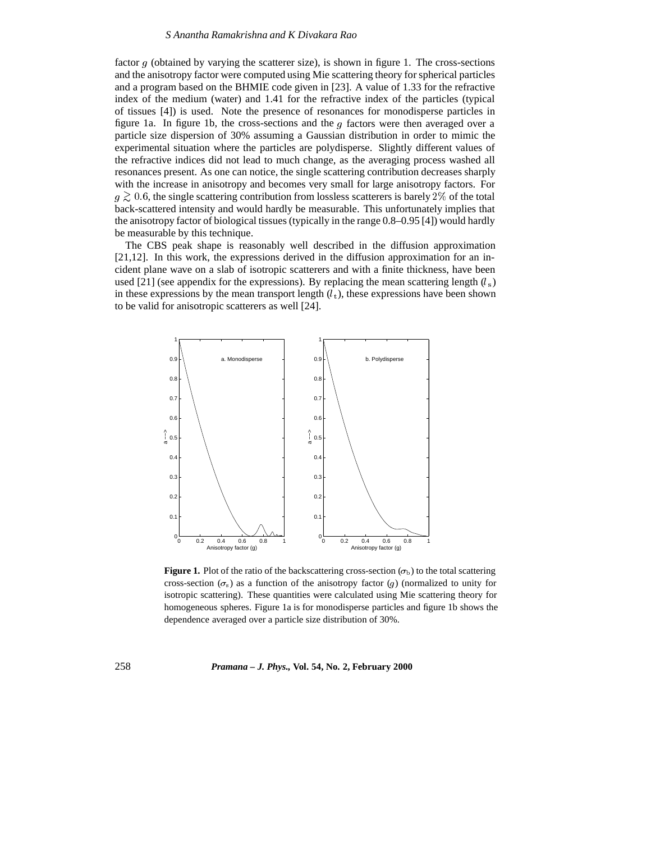factor  $g$  (obtained by varying the scatterer size), is shown in figure 1. The cross-sections and the anisotropy factor were computed using Mie scattering theory for spherical particles and a program based on the BHMIE code given in [23]. A value of 1.33 for the refractive index of the medium (water) and 1.41 for the refractive index of the particles (typical of tissues [4]) is used. Note the presence of resonances for monodisperse particles in figure 1a. In figure 1b, the cross-sections and the  $g$  factors were then averaged over a particle size dispersion of 30% assuming a Gaussian distribution in order to mimic the experimental situation where the particles are polydisperse. Slightly different values of the refractive indices did not lead to much change, as the averaging process washed all resonances present. As one can notice, the single scattering contribution decreases sharply with the increase in anisotropy and becomes very small for large anisotropy factors. For  $g \gtrsim 0.6$ , the single scattering contribution from lossless scatterers is barely 2% of the total back-scattered intensity and would hardly be measurable. This unfortunately implies that the anisotropy factor of biological tissues (typically in the range 0.8–0.95 [4]) would hardly be measurable by this technique.

The CBS peak shape is reasonably well described in the diffusion approximation [21,12]. In this work, the expressions derived in the diffusion approximation for an incident plane wave on a slab of isotropic scatterers and with a finite thickness, have been used [21] (see appendix for the expressions). By replacing the mean scattering length  $(l_s)$ in these expressions by the mean transport length  $(l<sub>t</sub>)$ , these expressions have been shown to be valid for anisotropic scatterers as well [24].



**Figure 1.** Plot of the ratio of the backscattering cross-section  $(\sigma_{\rm b})$  to the total scattering cross-section  $(\sigma_s)$  as a function of the anisotropy factor (g) (normalized to unity for isotropic scattering). These quantities were calculated using Mie scattering theory for homogeneous spheres. Figure 1a is for monodisperse particles and figure 1b shows the dependence averaged over a particle size distribution of 30%.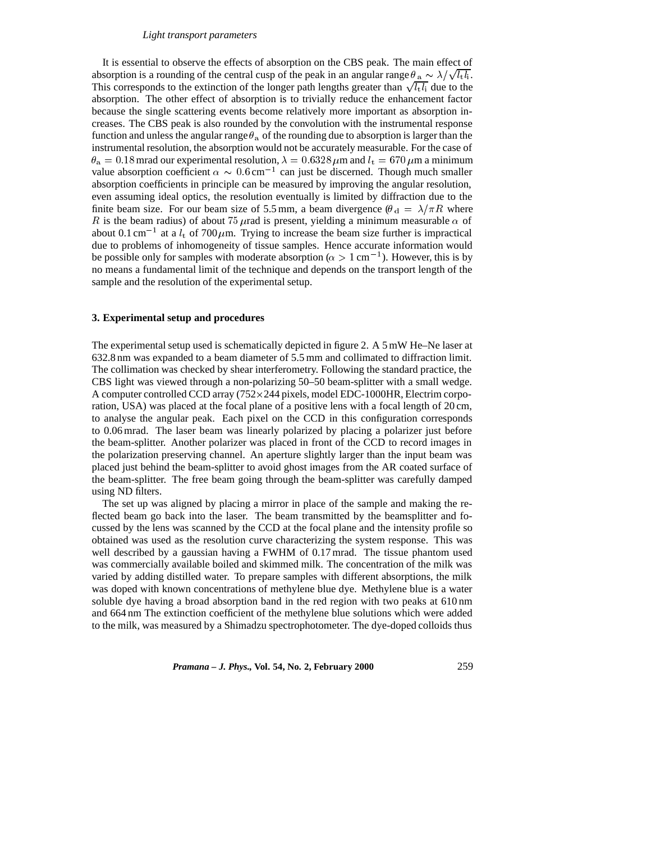### *Light transport parameters*

It is essential to observe the effects of absorption on the CBS peak. The main effect of absorption is a rounding of the central cusp of the peak in an angular range  $\theta_a \sim \lambda/\sqrt{l_t l_i}$ . This corresponds to the extinction of the longer path lengths greater than  $\sqrt{l_t l_i}$  due to the absorption. The other effect of absorption is to trivially reduce the enhancement factor because the single scattering events become relatively more important as absorption increases. The CBS peak is also rounded by the convolution with the instrumental response function and unless the angular range  $\theta_a$  of the rounding due to absorption is larger than the instrumental resolution, the absorption would not be accurately measurable. For the case of  $\theta_a = 0.18$  mrad our experimental resolution,  $\lambda = 0.6328 \,\mu$ m and  $l_t = 670 \,\mu$ m a minimum value absorption coefficient  $\alpha \sim 0.6$  cm<sup>-1</sup> can just be discerned. Though much smaller absorption coefficients in principle can be measured by improving the angular resolution, even assuming ideal optics, the resolution eventually is limited by diffraction due to the finite beam size. For our beam size of 5.5 mm, a beam divergence ( $\theta_d = \lambda / \pi R$  where R is the beam radius) of about 75  $\mu$  rad is present, yielding a minimum measurable  $\alpha$  of about 0.1 cm<sup>-1</sup> at a  $l_t$  of 700  $\mu$ m. Trying to increase the beam size further is impractical due to problems of inhomogeneity of tissue samples. Hence accurate information would be possible only for samples with moderate absorption ( $\alpha > 1$  cm<sup>-1</sup>). However, this is by no means a fundamental limit of the technique and depends on the transport length of the sample and the resolution of the experimental setup.

# **3. Experimental setup and procedures**

The experimental setup used is schematically depicted in figure 2. A 5 mW He–Ne laser at 632.8 nm was expanded to a beam diameter of 5.5 mm and collimated to diffraction limit. The collimation was checked by shear interferometry. Following the standard practice, the CBS light was viewed through a non-polarizing 50–50 beam-splitter with a small wedge. A computer controlled CCD array (752-244 pixels, model EDC-1000HR, Electrim corporation, USA) was placed at the focal plane of a positive lens with a focal length of 20 cm, to analyse the angular peak. Each pixel on the CCD in this configuration corresponds to 0.06 mrad. The laser beam was linearly polarized by placing a polarizer just before the beam-splitter. Another polarizer was placed in front of the CCD to record images in the polarization preserving channel. An aperture slightly larger than the input beam was placed just behind the beam-splitter to avoid ghost images from the AR coated surface of the beam-splitter. The free beam going through the beam-splitter was carefully damped using ND filters.

The set up was aligned by placing a mirror in place of the sample and making the reflected beam go back into the laser. The beam transmitted by the beamsplitter and focussed by the lens was scanned by the CCD at the focal plane and the intensity profile so obtained was used as the resolution curve characterizing the system response. This was well described by a gaussian having a FWHM of 0.17 mrad. The tissue phantom used was commercially available boiled and skimmed milk. The concentration of the milk was varied by adding distilled water. To prepare samples with different absorptions, the milk was doped with known concentrations of methylene blue dye. Methylene blue is a water soluble dye having a broad absorption band in the red region with two peaks at 610 nm and 664 nm The extinction coefficient of the methylene blue solutions which were added to the milk, was measured by a Shimadzu spectrophotometer. The dye-doped colloids thus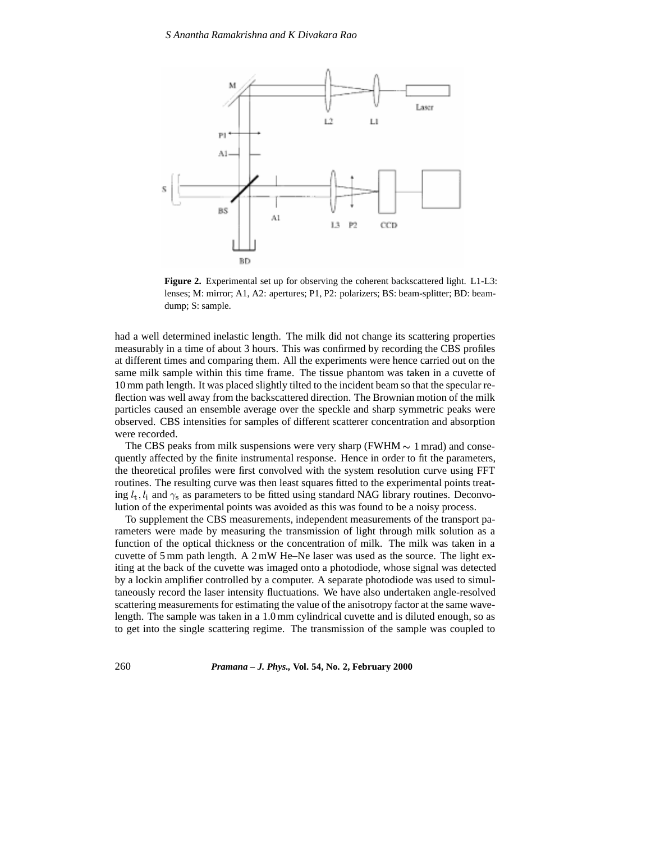

**Figure 2.** Experimental set up for observing the coherent backscattered light. L1-L3: lenses; M: mirror; A1, A2: apertures; P1, P2: polarizers; BS: beam-splitter; BD: beamdump; S: sample.

had a well determined inelastic length. The milk did not change its scattering properties measurably in a time of about 3 hours. This was confirmed by recording the CBS profiles at different times and comparing them. All the experiments were hence carried out on the same milk sample within this time frame. The tissue phantom was taken in a cuvette of 10 mm path length. It was placed slightly tilted to the incident beam so that the specular reflection was well away from the backscattered direction. The Brownian motion of the milk particles caused an ensemble average over the speckle and sharp symmetric peaks were observed. CBS intensities for samples of different scatterer concentration and absorption were recorded.

The CBS peaks from milk suspensions were very sharp (FWHM  $\sim 1$  mrad) and consequently affected by the finite instrumental response. Hence in order to fit the parameters, the theoretical profiles were first convolved with the system resolution curve using FFT routines. The resulting curve was then least squares fitted to the experimental points treating  $l_t$ ,  $l_i$  and  $\gamma_s$  as parameters to be fitted using standard NAG library routines. Deconvolution of the experimental points was avoided as this was found to be a noisy process.

To supplement the CBS measurements, independent measurements of the transport parameters were made by measuring the transmission of light through milk solution as a function of the optical thickness or the concentration of milk. The milk was taken in a cuvette of 5 mm path length. A 2 mW He–Ne laser was used as the source. The light exiting at the back of the cuvette was imaged onto a photodiode, whose signal was detected by a lockin amplifier controlled by a computer. A separate photodiode was used to simultaneously record the laser intensity fluctuations. We have also undertaken angle-resolved scattering measurements for estimating the value of the anisotropy factor at the same wavelength. The sample was taken in a 1.0 mm cylindrical cuvette and is diluted enough, so as to get into the single scattering regime. The transmission of the sample was coupled to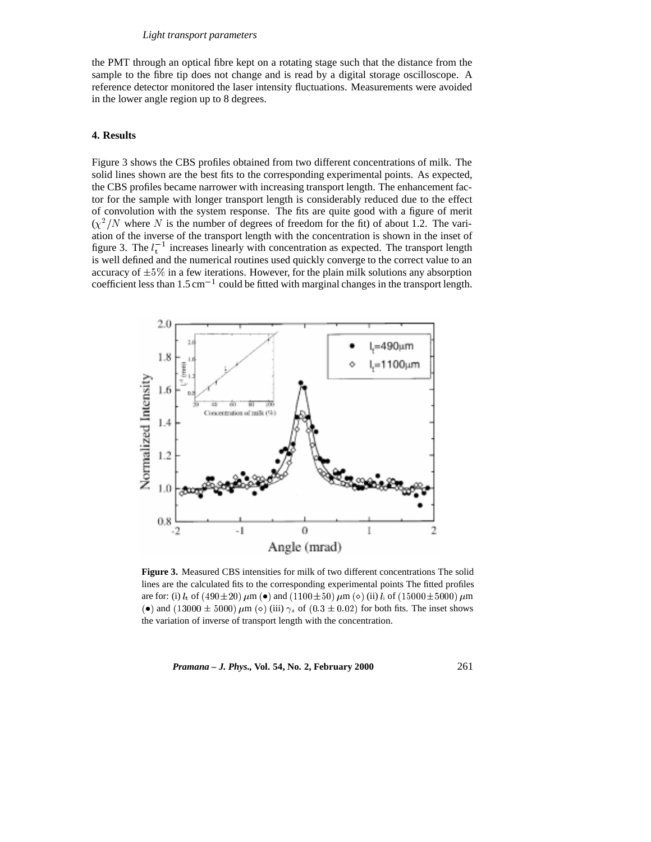the PMT through an optical fibre kept on a rotating stage such that the distance from the sample to the fibre tip does not change and is read by a digital storage oscilloscope. A reference detector monitored the laser intensity fluctuations. Measurements were avoided in the lower angle region up to 8 degrees.

# **4. Results**

Figure 3 shows the CBS profiles obtained from two different concentrations of milk. The solid lines shown are the best fits to the corresponding experimental points. As expected, the CBS profiles became narrower with increasing transport length. The enhancement factor for the sample with longer transport length is considerably reduced due to the effect of convolution with the system response. The fits are quite good with a figure of merit  $(\chi^2/N)$  where N is the number of degrees of freedom for the fit) of about 1.2. The variation of the inverse of the transport length with the concentration is shown in the inset of figure 3. The  $l_t^{-1}$  increases linearly with concentration as expected. The transport length is well defined and the numerical routines used quickly converge to the correct value to an accuracy of  $\pm 5\%$  in a few iterations. However, for the plain milk solutions any absorption coefficient less than  $1.5 \text{ cm}^{-1}$  could be fitted with marginal changes in the transport length.



**Figure 3.** Measured CBS intensities for milk of two different concentrations The solid lines are the calculated fits to the corresponding experimental points The fitted profiles are for: (i)  $l_t$  of (490±20)  $\mu$ m (•) and (1100±50)  $\mu$ m ( $\diamond$ ) (ii)  $l_i$  of (15000±5000)  $\mu$ m (•) and (13000  $\pm$  5000)  $\mu$ m ( $\circ$ ) (iii)  $\gamma_s$  of (0.3  $\pm$  0.02) for both fits. The inset shows the variation of inverse of transport length with the concentration.

*Pramana – J. Phys.,* **Vol. 54, No. 2, February 2000** 261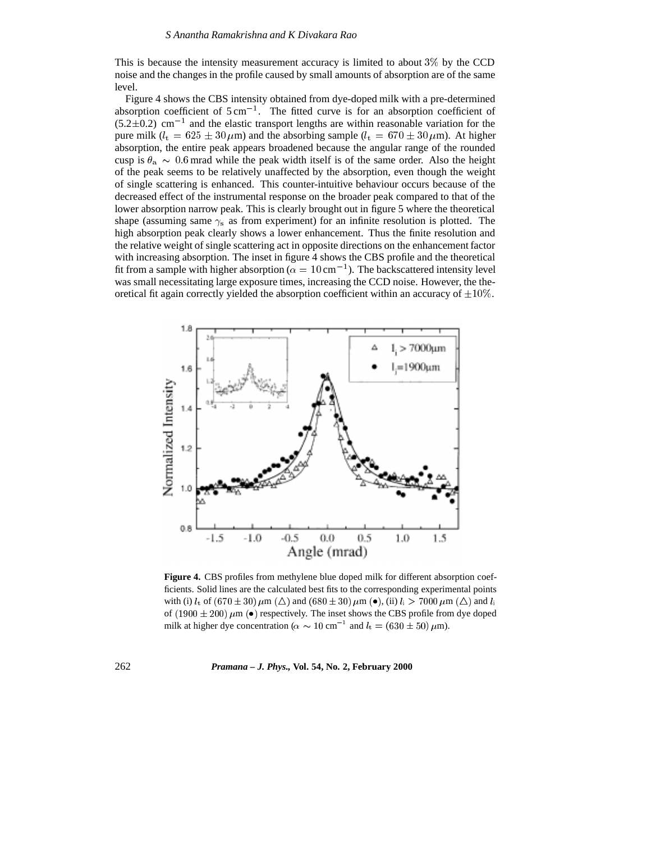This is because the intensity measurement accuracy is limited to about 3% by the CCD noise and the changes in the profile caused by small amounts of absorption are of the same level.

Figure 4 shows the CBS intensity obtained from dye-doped milk with a pre-determined absorption coefficient of  $5 \text{ cm}^{-1}$ . The fitted curve is for an absorption coefficient of  $(5.2\pm0.2)$  cm<sup>-1</sup> and the elastic transport lengths are within reasonable variation for the pure milk ( $l_t = 625 \pm 30 \,\mu$ m) and the absorbing sample ( $l_t = 670 \pm 30 \,\mu$ m). At higher absorption, the entire peak appears broadened because the angular range of the rounded cusp is  $\theta_a \sim 0.6$  mrad while the peak width itself is of the same order. Also the height of the peak seems to be relatively unaffected by the absorption, even though the weight of single scattering is enhanced. This counter-intuitive behaviour occurs because of the decreased effect of the instrumental response on the broader peak compared to that of the lower absorption narrow peak. This is clearly brought out in figure 5 where the theoretical shape (assuming same  $\gamma_s$  as from experiment) for an infinite resolution is plotted. The high absorption peak clearly shows a lower enhancement. Thus the finite resolution and the relative weight of single scattering act in opposite directions on the enhancement factor with increasing absorption. The inset in figure 4 shows the CBS profile and the theoretical fit from a sample with higher absorption ( $\alpha = 10 \text{ cm}^{-1}$ ). The backscattered intensity level was small necessitating large exposure times, increasing the CCD noise. However, the theoretical fit again correctly yielded the absorption coefficient within an accuracy of  $\pm 10\%$ .



**Figure 4.** CBS profiles from methylene blue doped milk for different absorption coefficients. Solid lines are the calculated best fits to the corresponding experimental points with (i)  $l_t$  of  $(670 \pm 30) \mu m$  ( $\triangle$ ) and  $(680 \pm 30) \mu m$  ( $\bullet$ ), (ii)  $l_i > 7000 \mu m$  ( $\triangle$ ) and  $l_i$ of (1900  $\pm$  200)  $\mu$ m (•) respectively. The inset shows the CBS profile from dye doped milk at higher dye concentration ( $\alpha \sim 10 \text{ cm}^{-1}$  and  $l_t = (630 \pm 50) \text{ }\mu\text{m}$ ).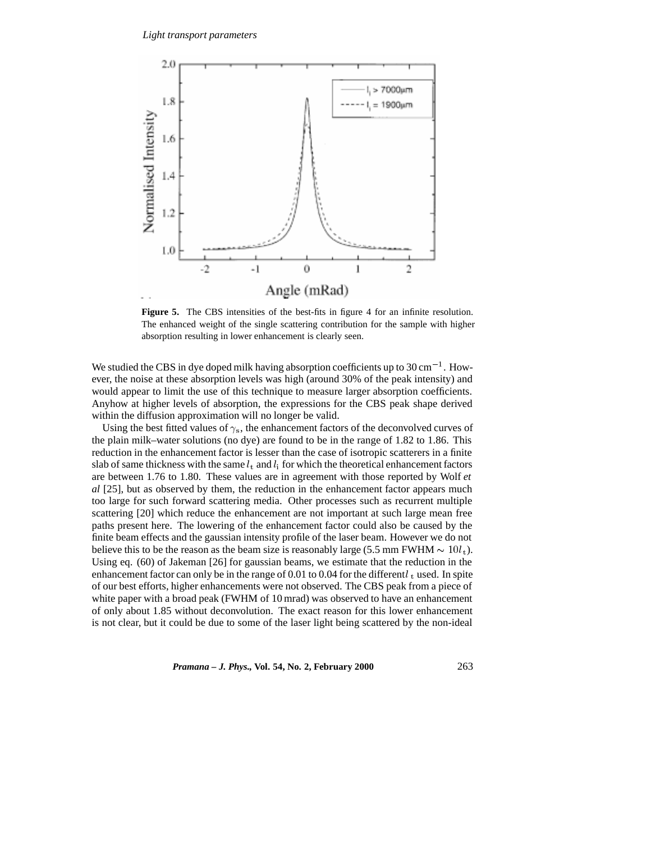

Figure 5. The CBS intensities of the best-fits in figure 4 for an infinite resolution. The enhanced weight of the single scattering contribution for the sample with higher absorption resulting in lower enhancement is clearly seen.

We studied the CBS in dye doped milk having absorption coefficients up to  $30 \text{ cm}^{-1}$ . However, the noise at these absorption levels was high (around 30% of the peak intensity) and would appear to limit the use of this technique to measure larger absorption coefficients. Anyhow at higher levels of absorption, the expressions for the CBS peak shape derived within the diffusion approximation will no longer be valid.

Using the best fitted values of  $\gamma_s$ , the enhancement factors of the deconvolved curves of the plain milk–water solutions (no dye) are found to be in the range of 1.82 to 1.86. This reduction in the enhancement factor is lesser than the case of isotropic scatterers in a finite slab of same thickness with the same  $l_t$  and  $l_i$  for which the theoretical enhancement factors are between 1.76 to 1.80. These values are in agreement with those reported by Wolf *et al* [25], but as observed by them, the reduction in the enhancement factor appears much too large for such forward scattering media. Other processes such as recurrent multiple scattering [20] which reduce the enhancement are not important at such large mean free paths present here. The lowering of the enhancement factor could also be caused by the finite beam effects and the gaussian intensity profile of the laser beam. However we do not believe this to be the reason as the beam size is reasonably large (5.5 mm FWHM  $\sim 10 l_{\rm t}$ ). Using eq. (60) of Jakeman [26] for gaussian beams, we estimate that the reduction in the enhancement factor can only be in the range of 0.01 to 0.04 for the different  $l_t$  used. In spite of our best efforts, higher enhancements were not observed. The CBS peak from a piece of white paper with a broad peak (FWHM of 10 mrad) was observed to have an enhancement of only about 1.85 without deconvolution. The exact reason for this lower enhancement is not clear, but it could be due to some of the laser light being scattered by the non-ideal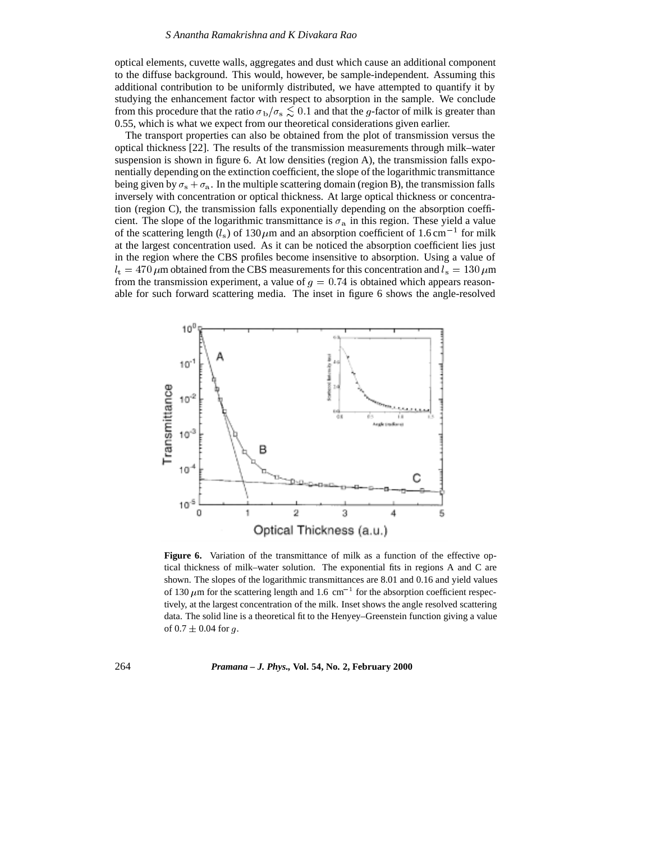optical elements, cuvette walls, aggregates and dust which cause an additional component to the diffuse background. This would, however, be sample-independent. Assuming this additional contribution to be uniformly distributed, we have attempted to quantify it by studying the enhancement factor with respect to absorption in the sample. We conclude from this procedure that the ratio  $\sigma_{\rm b}/\sigma_{\rm s} \lesssim 0.1$  and that the g-factor of milk is greater than 0.55, which is what we expect from our theoretical considerations given earlier.

The transport properties can also be obtained from the plot of transmission versus the optical thickness [22]. The results of the transmission measurements through milk–water suspension is shown in figure 6. At low densities (region A), the transmission falls exponentially depending on the extinction coefficient, the slope of the logarithmic transmittance being given by  $\sigma_s + \sigma_a$ . In the multiple scattering domain (region B), the transmission falls inversely with concentration or optical thickness. At large optical thickness or concentration (region C), the transmission falls exponentially depending on the absorption coefficient. The slope of the logarithmic transmittance is  $\sigma_a$  in this region. These yield a value of the scattering length ( $l_s$ ) of 130  $\mu$ m and an absorption coefficient of 1.6 cm<sup>-1</sup> for milk at the largest concentration used. As it can be noticed the absorption coefficient lies just in the region where the CBS profiles become insensitive to absorption. Using a value of  $l<sub>t</sub> = 470 \,\mu$ m obtained from the CBS measurements for this concentration and  $l<sub>s</sub> = 130 \,\mu$ m from the transmission experiment, a value of  $g = 0.74$  is obtained which appears reasonable for such forward scattering media. The inset in figure 6 shows the angle-resolved



Figure 6. Variation of the transmittance of milk as a function of the effective optical thickness of milk–water solution. The exponential fits in regions A and C are shown. The slopes of the logarithmic transmittances are 8.01 and 0.16 and yield values of 130  $\mu$ m for the scattering length and 1.6 cm<sup>-1</sup> for the absorption coefficient respectively, at the largest concentration of the milk. Inset shows the angle resolved scattering data. The solid line is a theoretical fit to the Henyey–Greenstein function giving a value of  $0.7 \pm 0.04$  for q.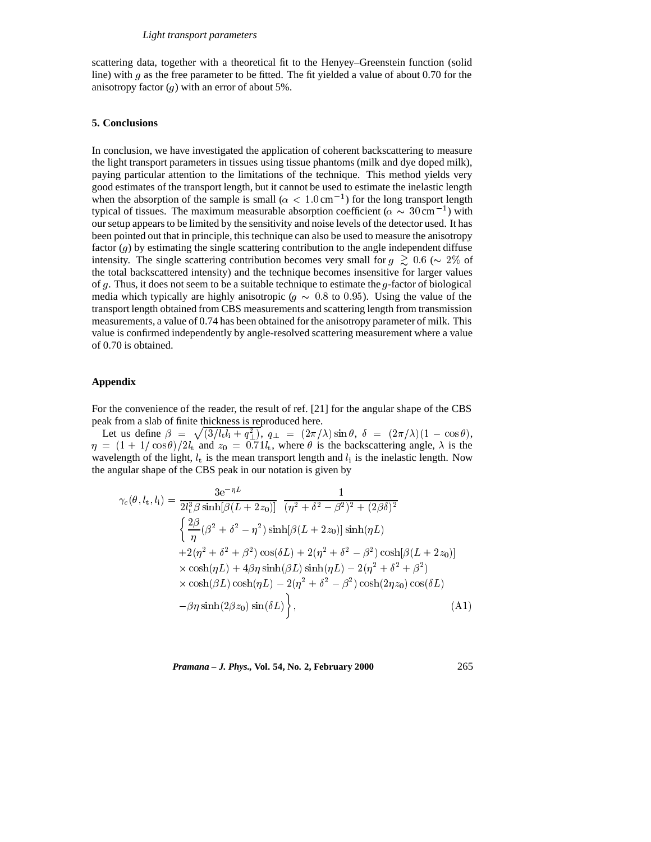scattering data, together with a theoretical fit to the Henyey–Greenstein function (solid line) with  $g$  as the free parameter to be fitted. The fit yielded a value of about 0.70 for the anisotropy factor  $(q)$  with an error of about 5%.

# **5. Conclusions**

In conclusion, we have investigated the application of coherent backscattering to measure the light transport parameters in tissues using tissue phantoms (milk and dye doped milk), paying particular attention to the limitations of the technique. This method yields very good estimates of the transport length, but it cannot be used to estimate the inelastic length when the absorption of the sample is small ( $\alpha < 1.0 \text{ cm}^{-1}$ ) for the long transport length typical of tissues. The maximum measurable absorption coefficient ( $\alpha \sim 30 \text{ cm}^{-1}$ ) with our setup appears to be limited by the sensitivity and noise levels of the detector used. It has been pointed out that in principle, this technique can also be used to measure the anisotropy factor  $(g)$  by estimating the single scattering contribution to the angle independent diffuse intensity. The single scattering contribution becomes very small for  $g \gtrsim 0.6$  ( $\sim 2\%$  of the total backscattered intensity) and the technique becomes insensitive for larger values of g. Thus, it does not seem to be a suitable technique to estimate the g-factor of biological media which typically are highly anisotropic ( $q \sim 0.8$  to 0.95). Using the value of the transport length obtained from CBS measurements and scattering length from transmission measurements, a value of 0.74 has been obtained for the anisotropy parameter of milk. This value is confirmed independently by angle-resolved scattering measurement where a value of 0.70 is obtained.

# **Appendix**

For the convenience of the reader, the result of ref. [21] for the angular shape of the CBS peak from a slab of finite thickness is reproduced here.

Let us define  $\beta = \sqrt{\frac{3}{l_1 l_1 + q_1^2}}$ ,  $q_{\perp} = \frac{2\pi}{\lambda} \sin \theta$ ,  $\delta = \frac{2\pi}{\lambda} \left(1 - \cos \theta\right)$ ,  $\eta = (1 + 1/\cos \theta)/2l_t$  and  $z_0 = 0.71l_t$ , where  $\theta$  is the backscattering angle,  $\lambda$  is the wavelength of the light,  $l_t$  is the mean transport length and  $l_i$  is the inelastic length. Now the angular shape of the CBS peak in our notation is given by

$$
\gamma_c(\theta, l_t, l_i) = \frac{3e^{-\eta L}}{2l_t^3 \beta \sinh[\beta(L + 2z_0)]} \frac{1}{(\eta^2 + \delta^2 - \beta^2)^2 + (2\beta\delta)^2} \n\frac{2\beta}{\eta} (\beta^2 + \delta^2 - \eta^2) \sinh[\beta(L + 2z_0)] \sinh(\eta L) \n+2(\eta^2 + \delta^2 + \beta^2) \cos(\delta L) + 2(\eta^2 + \delta^2 - \beta^2) \cosh[\beta(L + 2z_0)] \n\times \cosh(\eta L) + 4\beta \eta \sinh(\beta L) \sinh(\eta L) - 2(\eta^2 + \delta^2 + \beta^2) \n\times \cosh(\beta L) \cosh(\eta L) - 2(\eta^2 + \delta^2 - \beta^2) \cosh(2\eta z_0) \cos(\delta L) \n- \beta \eta \sinh(2\beta z_0) \sin(\delta L) \bigg\}, \tag{A1}
$$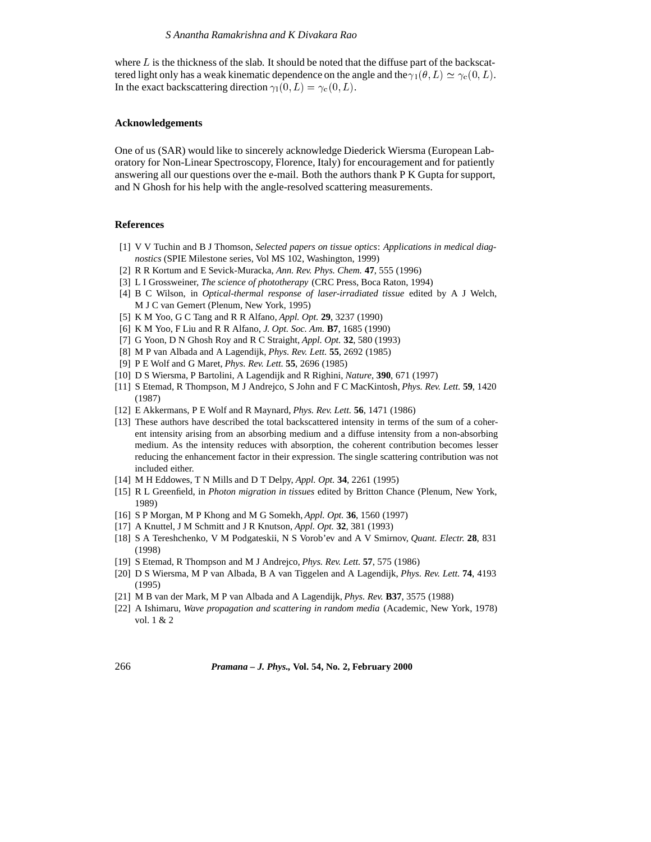where  $L$  is the thickness of the slab. It should be noted that the diffuse part of the backscattered light only has a weak kinematic dependence on the angle and the  $\gamma_1(\theta, L) \simeq \gamma_{\rm c}(0, L)$ . In the exact backscattering direction  $\gamma_1(0, L) = \gamma_c(0, L)$ .

# **Acknowledgements**

One of us (SAR) would like to sincerely acknowledge Diederick Wiersma (European Laboratory for Non-Linear Spectroscopy, Florence, Italy) for encouragement and for patiently answering all our questions over the e-mail. Both the authors thank P K Gupta for support, and N Ghosh for his help with the angle-resolved scattering measurements.

#### **References**

- [1] V V Tuchin and B J Thomson, *Selected papers on tissue optics*: *Applications in medical diagnostics* (SPIE Milestone series, Vol MS 102, Washington, 1999)
- [2] R R Kortum and E Sevick-Muracka, *Ann. Rev. Phys. Chem.* **47**, 555 (1996)
- [3] L I Grossweiner, *The science of phototherapy* (CRC Press, Boca Raton, 1994)
- [4] B C Wilson, in *Optical-thermal response of laser-irradiated tissue* edited by A J Welch, M J C van Gemert (Plenum, New York, 1995)
- [5] K M Yoo, G C Tang and R R Alfano, *Appl. Opt.* **29**, 3237 (1990)
- [6] K M Yoo, F Liu and R R Alfano, *J. Opt. Soc. Am.* **B7**, 1685 (1990)
- [7] G Yoon, D N Ghosh Roy and R C Straight, *Appl. Opt.* **32**, 580 (1993)
- [8] M P van Albada and A Lagendijk, *Phys. Rev. Lett.* **55**, 2692 (1985)
- [9] P E Wolf and G Maret, *Phys. Rev. Lett.* **55**, 2696 (1985)
- [10] D S Wiersma, P Bartolini, A Lagendijk and R Righini, *Nature*, **390**, 671 (1997)
- [11] S Etemad, R Thompson, M J Andrejco, S John and F C MacKintosh, *Phys. Rev. Lett.* **59**, 1420 (1987)
- [12] E Akkermans, P E Wolf and R Maynard, *Phys. Rev. Lett.* **56**, 1471 (1986)
- [13] These authors have described the total backscattered intensity in terms of the sum of a coherent intensity arising from an absorbing medium and a diffuse intensity from a non-absorbing medium. As the intensity reduces with absorption, the coherent contribution becomes lesser reducing the enhancement factor in their expression. The single scattering contribution was not included either.
- [14] M H Eddowes, T N Mills and D T Delpy, *Appl. Opt.* **34**, 2261 (1995)
- [15] R L Greenfield, in *Photon migration in tissues* edited by Britton Chance (Plenum, New York, 1989)
- [16] S P Morgan, M P Khong and M G Somekh, *Appl. Opt.* **36**, 1560 (1997)
- [17] A Knuttel, J M Schmitt and J R Knutson, *Appl. Opt.* **32**, 381 (1993)
- [18] S A Tereshchenko, V M Podgateskii, N S Vorob'ev and A V Smirnov, *Quant. Electr.* **28**, 831 (1998)
- [19] S Etemad, R Thompson and M J Andrejco, *Phys. Rev. Lett.* **57**, 575 (1986)
- [20] D S Wiersma, M P van Albada, B A van Tiggelen and A Lagendijk, *Phys. Rev. Lett.* **74**, 4193 (1995)
- [21] M B van der Mark, M P van Albada and A Lagendijk, *Phys. Rev.* **B37**, 3575 (1988)
- [22] A Ishimaru, *Wave propagation and scattering in random media* (Academic, New York, 1978) vol. 1 & 2